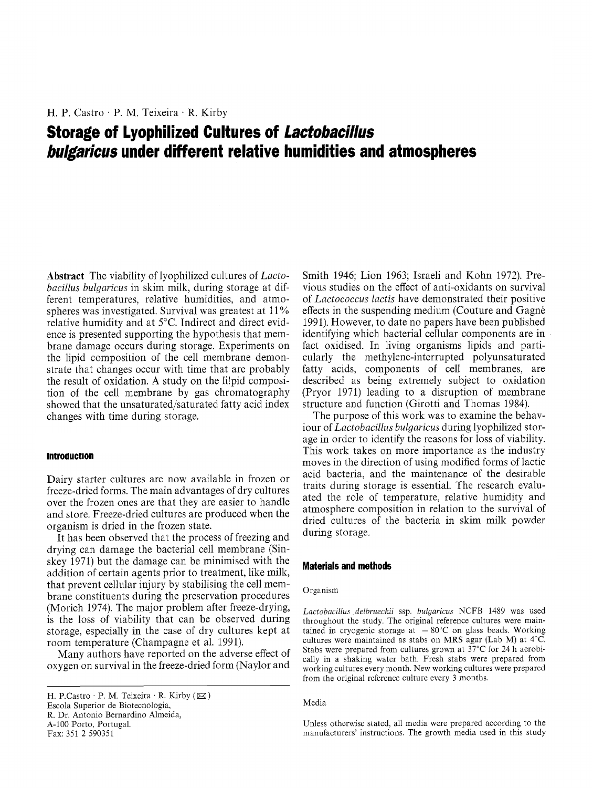# **Storage of Lyophilized Cultures of** *Lactobacillus bulgaricus* **under different relative humidities and atmospheres**

Abstract The viability of lyophilized cultures of *Lactobacillus bulgaricus* in skim milk, during storage at different temperatures, relative humidities, and atmospheres was investigated. Survival was greatest at 11% relative humidity and at 5°C. Indirect and direct evidence is presented supporting the hypothesis that membrane damage occurs during storage. Experiments on the lipid composition of the cell membrane demonstrate that changes occur with time that are probably the result of oxidation. A study on the li!pid composition of the cell membrane by gas chromatography showed that the unsaturated/saturated fatty acid index changes with time during storage.

## **Introduction**

Dairy starter cultures are now available in frozen or freeze-dried forms. The main advantages of dry cultures over the frozen ones are that they are easier to handle and store. Freeze-dried cultures are produced when the organism is dried in the frozen state.

It has been observed that the process of freezing and drying can damage the bacterial cell membrane (Sinskey 1971) but the damage can be minimised with the addition of certain agents prior to treatment, like milk, that prevent cellular injury by stabilising the cell membrane constituents during the preservation procedures (Morich 1974). The major problem after freeze-drying, is the loss of viability that can be observed during storage, especially in the case of dry cultures kept at room temperature (Champagne et al. 1991).

Many authors have reported on the adverse effect of oxygen on survival in the freeze-dried form (Naylor and

Smith 1946; Lion 1963; Israeli and Kohn 1972). Previous studies on the effect of anti-oxidants on survival of *Lactococcus lactis* have demonstrated their positive effects in the suspending medium (Couture and Gagn6 1991). However, to date no papers have been published identifying which bacterial cellular components are in fact oxidised. In living organisms lipids and particularly the methylene-interrupted polyunsaturated fatty acids, components of cell membranes, are described as being extremely subject to oxidation (Pryor 1971) leading to a disruption of membrane structure and function (Girotti and Thomas 1984).

The purpose of this work was to examine the behaviour of *Lactobacillus bulgaricus* during lyophilized storage in order to identify the reasons for loss of viability. This work takes on more importance as the industry moves in the direction of using modified forms of lactic acid bacteria, and the maintenance of the desirable traits during storage is essential. The research evaluated the role of temperature, relative humidity and atmosphere composition in relation to the survival of dried cultures of the bacteria in skim milk powder during storage.

# **Materials and methods**

#### Organism

*Lactobacillus delbrueckii* ssp. *bulgaricus* NCFB 1489 was used throughout the study. The original reference cultures were maintained in cryogenic storage at  $-80^{\circ}$ C on glass beads. Working cultures were maintained as stabs on MRS agar (Lab M) at 4°C. Stabs were prepared from cultures grown at 37°C for 24 h aerobically in a shaking water bath. Fresh stabs were prepared from working cultures every month. New working cultures were prepared from the original reference culture every 3 months.

#### Media

Unless otherwise stated, all media were prepared according to the manufacturers' instructions. The growth media used in this study

H. P.Castro · P. M. Teixeira · R. Kirby  $(\boxtimes)$ Escola Superior de Biotecnologia, R. Dr. Antonio Bernardino Almeida, A-100 Porto, Portugal. Fax: 351 2 590351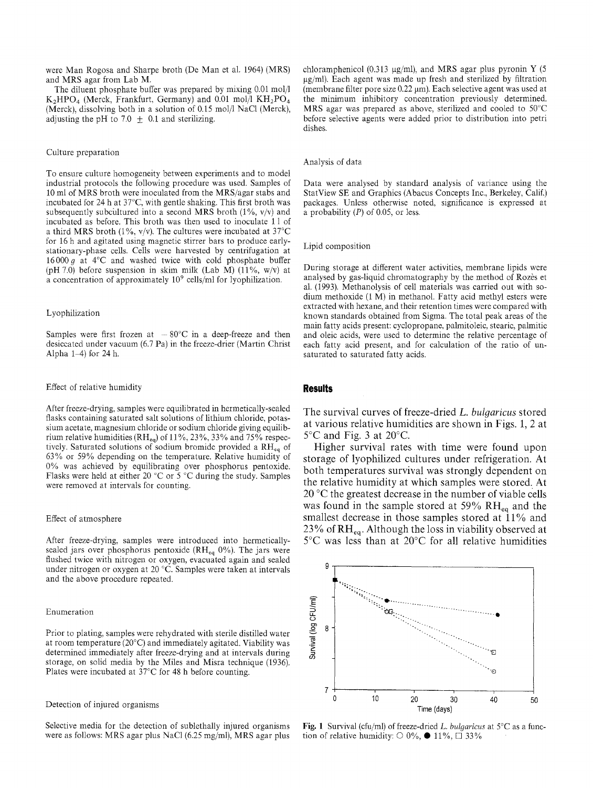were Man Rogosa and Sharpe broth (De Man et al. 1964) (MRS) and MRS agar from Lab M.

The diluent phosphate buffer was prepared by mixing  $0.01 \text{ mol}/1$  $K_2HPO_4$  (Merck, Frankfurt, Germany) and 0.01 mol/1 KH<sub>2</sub>PO<sub>4</sub> (Merck), dissolving both in a solution of 0.15 mol/1 NaC1 (Merck), adjusting the pH to 7.0  $\pm$  0.1 and sterilizing.

#### Culture preparation

To ensure culture homogeneity between experiments and to model industrial protocols the following procedure was used. Samples of 10 mi of MRS broth were inoculated from the MRS/agar stabs and incubated for 24 h at 37°C, with gentle shaking. This first broth was subsequently subcultured into a second MRS broth (1%,  $v/v$ ) and incubated as before. This broth was then used to inoculate 11 of a third MRS broth (1%,  $v/v$ ). The cultures were incubated at 37°C for 16 h and agitated using magnetic stirrer bars to produce earlystationary-phase cells. Cells were harvested by centrifugation at  $16000q$  at  $4^{\circ}$ C and washed twice with cold phosphate buffer (pH 7.0) before suspension in skim milk (Lab M) (11%,  $w/v$ ) at a concentration of approximately 109 cells/ml for lyophilization.

## Lyophilization

Samples were first frozen at  $-80^{\circ}$ C in a deep-freeze and then desiccated under vacuum (6.7 Pa) in the freeze-drier (Martin Christ Alpha  $1-4$ ) for 24 h.

# Effect of relative humidity

After freeze-drying, samples were equilibrated in hermetically-sealed flasks containing saturated salt solutions of lithium chloride, potassium acetate, magnesium chloride or sodium chloride giving equilibrium relative humidities (RH<sub>eq</sub>) of 11%, 23%, 33% and 75% respectively. Saturated solutions of sodium bromide provided a RHeq of 63% or 59% depending on the temperature. Relative humidity of 0% was achieved by equilibrating over phosphorus pentoxide. Flasks were held at either 20 °C or 5 °C during the study. Samples were removed at intervals for counting.

#### Effect of atmosphere

After freeze-drying, samples were introduced into hermeticallysealed jars over phosphorus pentoxide (RH $_{eq}$  0%). The jars were flushed twice with nitrogen or oxygen, evacuated again and sealed under nitrogen or oxygen at 20 °C. Samples were taken at intervals and the above procedure repeated.

## Enumeration

Prior to plating, samples were rehydrated with sterile distilled water at room temperature (20°C) and immediately agitated. Viability was determined immediately after freeze-drying and at intervals during storage, on solid media by the Miles and Misra technique (1936). Plates were incubated at 37°C for 48 h before counting.

# Detection of injured organisms

Selective media for the detection of sublethally injured organisms were as follows: MRS agar plus NaC1 (6.25 mg/ml), MRS agar plus chloramphenicol (0.313  $\mu$ g/ml), and MRS agar plus pyronin Y (5)  $\mu$ g/ml). Each agent was made up fresh and sterilized by filtration (membrane filter pore size  $0.22 \mu m$ ). Each selective agent was used at the minimum inhibitory concentration previously determined. MRS agar was prepared as above, sterilized and cooled to 50°C before selective agents were added prior to distribution into petri dishes.

#### Analysis of data

Data were analysed by standard analysis of variance using the StatView SE and Graphics (Abacus Concepts Inc., Berkeley, Calif.) packages. Unless otherwise noted, significance is expressed at a probability  $(P)$  of 0.05, or less.

#### Lipid composition

During storage at different water activities, membrane lipids were analysed by gas-liquid chromatography by the method of Rozès et al. (1993). Methanolysis of cell materials was carried out with sodium methoxide (1 M) in methanol. Fatty acid methyl esters were extracted with hexane, and their retention times were compared with known standards obtained from Sigma. The total peak areas of the main fatty acids present: cyclopropane, palmitoleic, stearic, palmitic and oleic acids, were used to determine the relative percentage of each fatty acid present, and for calculation of the ratio of unsaturated to saturated fatty acids.

### **Results**

The survival curves of freeze-dried *L. bulgaricus* stored at various relative humidities are shown in Figs. 1, 2 at  $5^{\circ}$ C and Fig. 3 at 20 $^{\circ}$ C.

Higher survival rates with time were found upon storage of lyophilized cultures under refrigeration. At both temperatures survival was strongly dependent on the relative humidity at which samples were stored. At 20 °C the greatest decrease in the number of viable cells was found in the sample stored at 59%  $RH_{eq}$  and the smallest decrease in those samples stored at 11% and 23% of  $RH_{eq}$ . Although the loss in viability observed at 5°C was less than at 20°C for all relative humidities



Fig. 1 Survival (cfu/ml) of freeze-dried *L. bulgaricus* at 5°C as a function of relative humidity:  $\circ$  0%,  $\bullet$  11%,  $\Box$  33%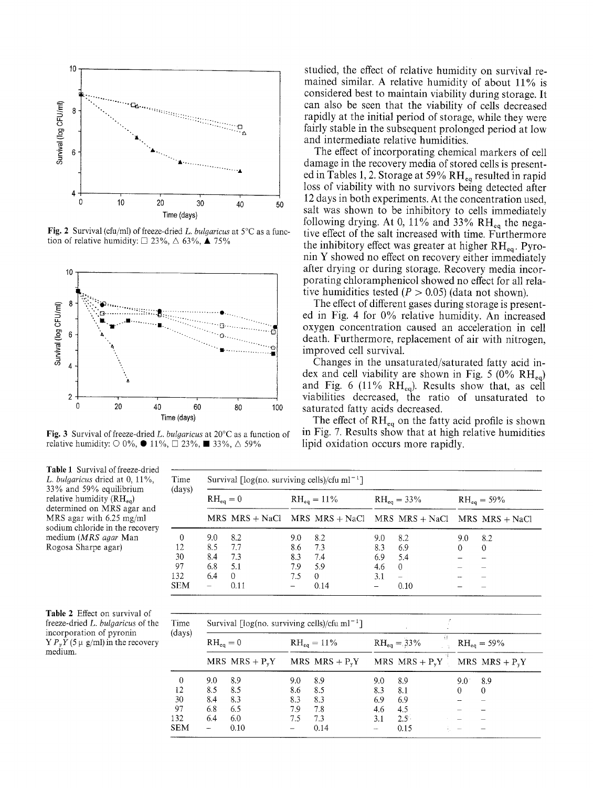

Fig. 2 Survival (cfu/ml) of freeze-dried L. bulgaricus at  $5^{\circ}$ C as a function of relative humidity:  $\Box$  23%,  $\triangle$  63%,  $\triangle$  75%



**Fig. 3** Survival of freeze-dried L. bulgaricus at  $20^{\circ}$ C as a function of relative humidity:  $\bigcirc$  0%,  $\bullet$  11%,  $\Box$  23%, ■ 33%,  $\triangle$  59%

studied, the effect of relative humidity on survival remained similar. A relative humidity of about 11% is considered best to maintain viability during storage. It can also be seen that the viability of cells decreased rapidly at the initial period of storage, while they were fairly stable in the subsequent prolonged period at low and intermediate relative humidities.

The effect of incorporating chemical markers of cell damage in the recovery media of stored cells is presented in Tables 1, 2. Storage at 59%  $RH_{eq}$  resulted in rapid loss of viability with no survivors being detected after 12 days in both experiments. At the concentration used, salt was shown to be inhibitory to cells immediately following drying. At 0, 11% and 33%  $RH_{eq}$  the negative effect of the salt increased with time. Furthermore the inhibitory effect was greater at higher  $RH_{eq}$ . Pyronin Y showed no effect on recovery either immediately after drying or during storage. Recovery media incorporating chloramphenicol showed no effect for all relative humidities tested ( $P > 0.05$ ) (data not shown).

The effect of different gases during storage is presented in Fig. 4 for 0% relative humidity. An increased oxygen concentration caused an acceleration in cell death. Furthermore, replacement of air with nitrogen. improved cell survival.

Changes in the unsaturated/saturated fatty acid index and cell viability are shown in Fig. 5 (0%  $\rm RH_{eq}$ ) and Fig. 6 (11%  $RH_{eq}$ ). Results show that, as cell viabilities decreased, the ratio of unsaturated to saturated fatty acids decreased.

The effect of  $RH_{eq}$  on the fatty acid profile is shown in Fig. 7. Results show that at high relative humidities lipid oxidation occurs more rapidly.

| Time<br>(days) | Survival $\lceil \log(no.$ surviving cells)/cfu ml <sup>-1</sup> ] |          |                  |                                                             |                  |                          |                  |          |  |  |
|----------------|--------------------------------------------------------------------|----------|------------------|-------------------------------------------------------------|------------------|--------------------------|------------------|----------|--|--|
|                | $RH_{eq}=0$                                                        |          | $RH_{eq} = 11\%$ |                                                             | $RH_{eq} = 33\%$ |                          | $RH_{eq} = 59\%$ |          |  |  |
|                |                                                                    |          |                  | MRS MRS + NaCl MRS MRS + NaCl MRS MRS + NaCl MRS MRS + NaCl |                  |                          |                  |          |  |  |
| $\theta$       | 9.0                                                                | 8.2      | 9.0              | 82                                                          | 9.0              | 8.2                      | 9.0              | 8.2      |  |  |
| 12             | 8.5                                                                | 7.7      | 8.6              | 7.3                                                         | 8.3              | 6.9                      | $^{0}$           | $\theta$ |  |  |
| 30             | 8.4                                                                | 7.3      | 8.3              | 7.4                                                         | 6.9              | 5.4                      |                  |          |  |  |
| 97             | 6.8                                                                | 5.1      | 7.9              | 5.9                                                         | 4.6              | $\theta$                 |                  |          |  |  |
| 132            | 6.4                                                                | $\Omega$ | 7.5              | $\Omega$                                                    | 3.1              | $\overline{\phantom{0}}$ |                  |          |  |  |
| <b>SEM</b>     |                                                                    | 0.11     |                  | 0.14                                                        |                  | 0.10                     |                  |          |  |  |

| Table 2 Effect on survival of        |
|--------------------------------------|
| freeze-dried L. bulgaricus of the    |
| incorporation of pyronin             |
| $Y P_v Y$ (5 µ g/ml) in the recovery |
| medium.                              |

Table 1 Survival of freeze-dried L. bulgaricus dried at 0, 11%, 33% and 59% equilibrium relative humidity  $(RH_{eq})$ determined on MRS agar and MRS agar with  $6.25$  mg/ml sodium chloride in the recovery medium (MRS agar Man Rogosa Sharpe agar)

| Time<br>(days) | Survival $\lceil \log(\text{no. surviving cells}) / \text{cfu} \,\text{m} \rceil^{-1}$ ] |                  |                |                  |                        |                  |                  |                  |  |  |
|----------------|------------------------------------------------------------------------------------------|------------------|----------------|------------------|------------------------|------------------|------------------|------------------|--|--|
|                | $RH_{eq}=0$                                                                              |                  | $RH_{eq}=11\%$ |                  | ÷έ<br>$RH_{eq} = 33\%$ |                  | $RH_{eq} = 59\%$ |                  |  |  |
|                |                                                                                          | MRS $MRS + P_vY$ |                | MRS $MRS + P_vY$ |                        | MRS $MRS + P_vY$ |                  | MRS $MRS + P_vY$ |  |  |
| 0              | 9.0                                                                                      | 8.9              | 9.0            | 8.9              | 9.0                    | 89               | 9.0              | 8.9              |  |  |
| 12             | 8.5                                                                                      | 8.5              | 8.6            | 8.5              | 8.3                    | 8.1              | 0                | $\Omega$         |  |  |
| 30             | 8.4                                                                                      | 8.3              | 8.3            | 8.3              | 6.9                    | 6.9              |                  |                  |  |  |
| 97             | 6.8                                                                                      | 6.5              | 7.9            | 7.8              | 4.6                    | 4.5              |                  |                  |  |  |
| 132            | 6.4                                                                                      | 6.0              | 7.5            | 7.3              | 3.1                    | $2.5^{\circ}$    |                  |                  |  |  |
| <b>SEM</b>     | $\overline{\phantom{a}}$                                                                 | 0.10             |                | 0.14             |                        | 0.15             |                  |                  |  |  |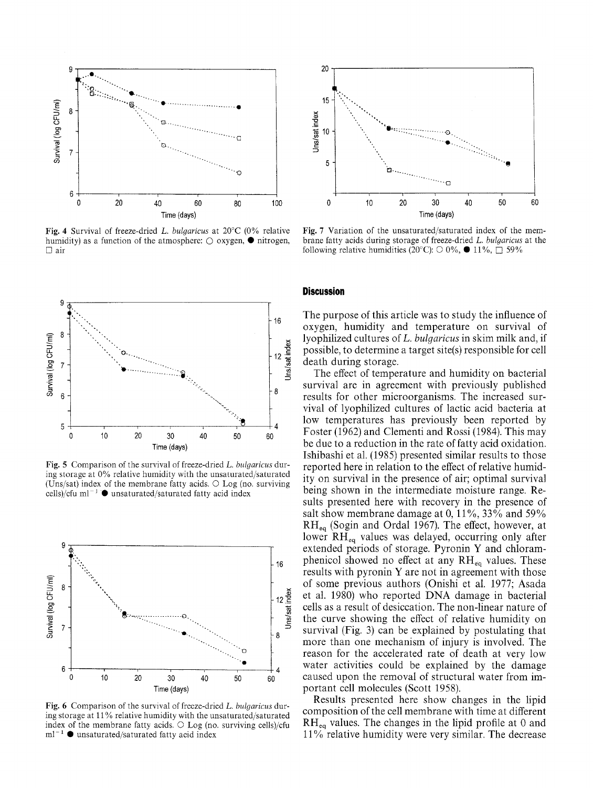

Fig. 4 Survival of freeze-dried L. bulgaricus at  $20^{\circ}$ C (0% relative humidity) as a function of the atmosphere:  $\bigcirc$  oxygen,  $\bullet$  nitrogen,  $\Box$  air



Fig. 5 Comparison of the survival of freeze-dried L. bulgaricus during storage at 0% relative humidity with the unsaturated/saturated (Uns/sat) index of the membrane fatty acids.  $\circ$  Log (no. surviving cells)/cfu ml<sup>-1</sup> ● unsaturated/saturated fatty acid index



Fig. 6 Comparison of the survival of freeze-dried L. bulgaricus during storage at 11% relative humidity with the unsaturated/saturated index of the membrane fatty acids.  $\bigcirc$  Log (no. surviving cells)/cfu  $\mathrm{m} \mathrm{l}^{-1}$   $\bullet$  unsaturated/saturated fatty acid index



Fig. 7 Variation of the unsaturated/saturated index of the membrane fatty acids during storage of freeze-dried L. bulgaricus at the following relative humidities (20°C):  $\bigcirc$  0%,  $\bullet$  11%,  $\bigcap$  59%

# **Discussion**

The purpose of this article was to study the influence of oxygen, humidity and temperature on survival of lyophilized cultures of L. bulgaricus in skim milk and, if possible, to determine a target site(s) responsible for cell death during storage.

The effect of temperature and humidity on bacterial survival are in agreement with previously published results for other microorganisms. The increased survival of lyophilized cultures of lactic acid bacteria at low temperatures has previously been reported by Foster (1962) and Clementi and Rossi (1984). This may be due to a reduction in the rate of fatty acid oxidation. Ishibashi et al. (1985) presented similar results to those reported here in relation to the effect of relative humidity on survival in the presence of air; optimal survival being shown in the intermediate moisture range. Results presented here with recovery in the presence of salt show membrane damage at 0,  $11\%$ ,  $33\%$  and  $59\%$ RH<sub>eq</sub> (Sogin and Ordal 1967). The effect, however, at lower RH<sub>eq</sub> values was delayed, occurring only after extended periods of storage. Pyronin Y and chloramphenicol showed no effect at any  $RH_{eq}$  values. These results with pyronin Y are not in agreement with those of some previous authors (Onishi et al. 1977; Asada et al. 1980) who reported DNA damage in bacterial cells as a result of desiccation. The non-linear nature of the curve showing the effect of relative humidity on survival (Fig. 3) can be explained by postulating that more than one mechanism of injury is involved. The reason for the accelerated rate of death at very low water activities could be explained by the damage caused upon the removal of structural water from important cell molecules (Scott 1958).

Results presented here show changes in the lipid composition of the cell membrane with time at different  $RH_{eq}$  values. The changes in the lipid profile at 0 and 11% relative humidity were very similar. The decrease